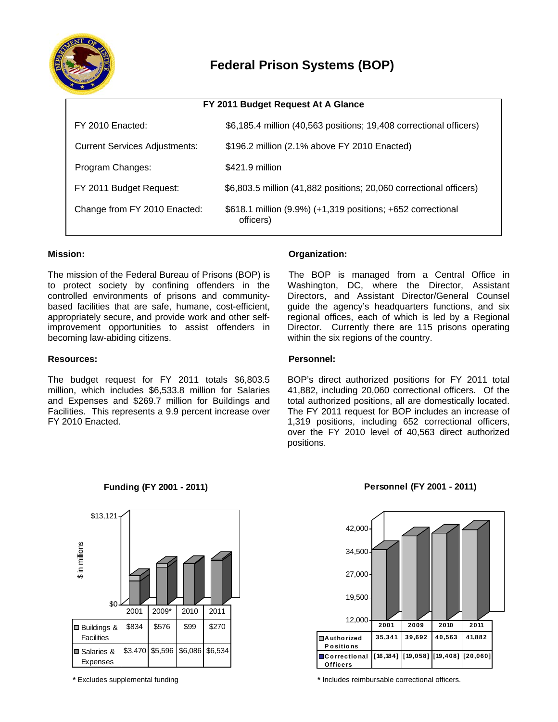

# **Federal Prison Systems (BOP)**

| FY 2011 Budget Request At A Glance   |                                                                          |  |
|--------------------------------------|--------------------------------------------------------------------------|--|
| FY 2010 Enacted:                     | \$6,185.4 million (40,563 positions; 19,408 correctional officers)       |  |
| <b>Current Services Adjustments:</b> | \$196.2 million (2.1% above FY 2010 Enacted)                             |  |
| Program Changes:                     | \$421.9 million                                                          |  |
| FY 2011 Budget Request:              | \$6,803.5 million (41,882 positions; 20,060 correctional officers)       |  |
| Change from FY 2010 Enacted:         | \$618.1 million (9.9%) (+1,319 positions; +652 correctional<br>officers) |  |

# **Mission:**

The mission of the Federal Bureau of Prisons (BOP) is to protect society by confining offenders in the controlled environments of prisons and communitybased facilities that are safe, humane, cost-efficient, appropriately secure, and provide work and other selfimprovement opportunities to assist offenders in becoming law-abiding citizens.

#### **Resources:**

The budget request for FY 2011 totals \$6,803.5 million, which includes \$6,533.8 million for Salaries and Expenses and \$269.7 million for Buildings and Facilities. This represents a 9.9 percent increase over FY 2010 Enacted.

# **Organization:**

The BOP is managed from a Central Office in Washington, DC, where the Director, Assistant Directors, and Assistant Director/General Counsel guide the agency's headquarters functions, and six regional offices, each of which is led by a Regional Director. Currently there are 115 prisons operating within the six regions of the country.

#### **Personnel:**

BOP's direct authorized positions for FY 2011 total 41,882, including 20,060 correctional officers. Of the total authorized positions, all are domestically located. The FY 2011 request for BOP includes an increase of 1,319 positions, including 652 correctional officers, over the FY 2010 level of 40,563 direct authorized positions.



**Funding (FY 2001 - 2011)**

## **Personnel (FY 2001 - 2011)**



**\*** Excludes supplemental funding **\*** Includes reimbursable correctional officers.